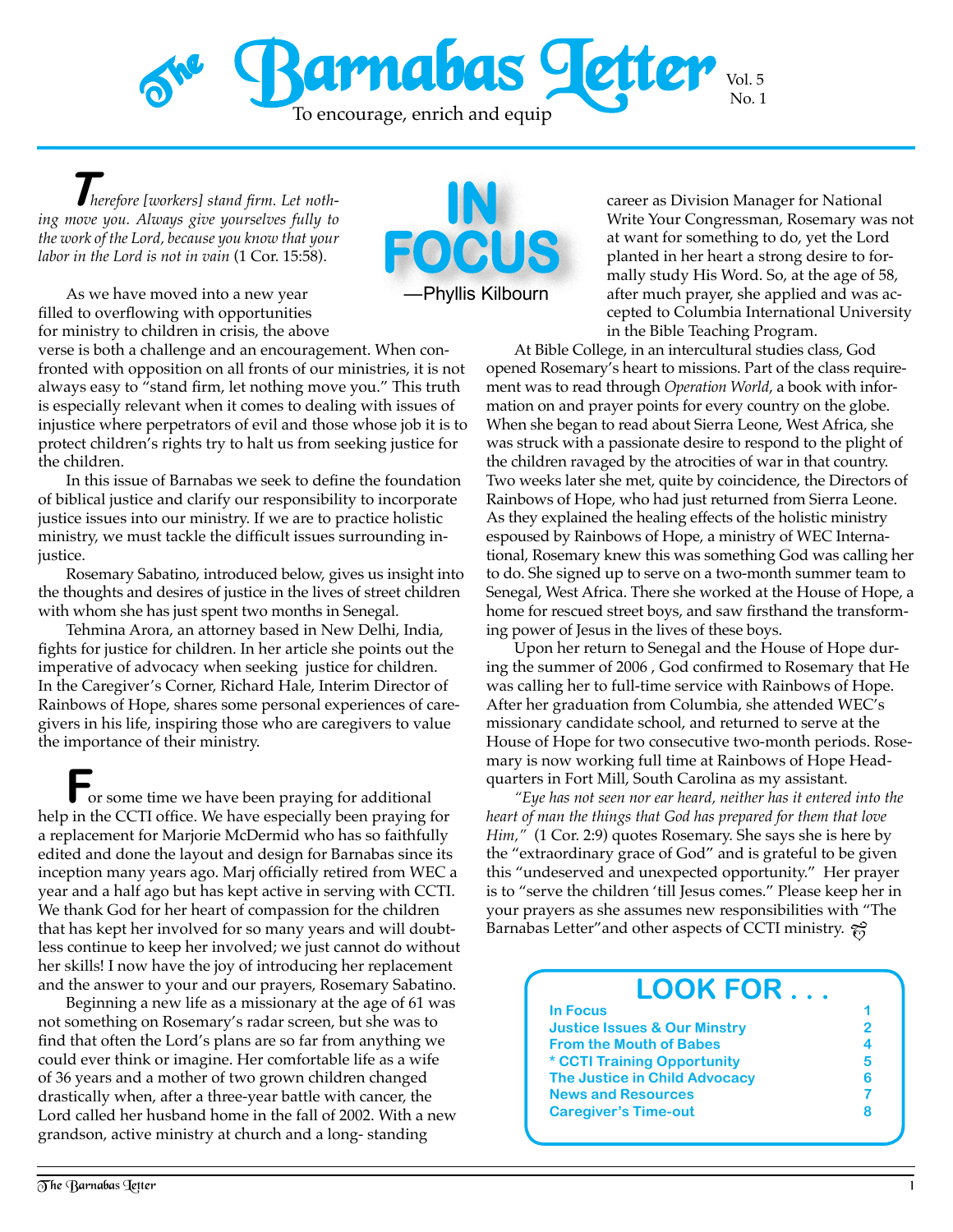

—Phyllis Kilbourn

OCU

**T***herefore [workers] stand firm. Let nothing move you. Always give yourselves fully to the work of the Lord, because you know that your labor in the Lord is not in vain* (1 Cor. 15:58).

As we have moved into a new year filled to overflowing with opportunities for ministry to children in crisis, the above

verse is both a challenge and an encouragement. When confronted with opposition on all fronts of our ministries, it is not always easy to "stand firm, let nothing move you." This truth is especially relevant when it comes to dealing with issues of injustice where perpetrators of evil and those whose job it is to protect children's rights try to halt us from seeking justice for the children.

In this issue of Barnabas we seek to define the foundation of biblical justice and clarify our responsibility to incorporate justice issues into our ministry. If we are to practice holistic ministry, we must tackle the difficult issues surrounding injustice.

Rosemary Sabatino, introduced below, gives us insight into the thoughts and desires of justice in the lives of street children with whom she has just spent two months in Senegal.

Tehmina Arora, an attorney based in New Delhi, India, fights for justice for children. In her article she points out the imperative of advocacy when seeking justice for children. In the Caregiver's Corner, Richard Hale, Interim Director of Rainbows of Hope, shares some personal experiences of caregivers in his life, inspiring those who are caregivers to value the importance of their ministry.

**F**or some time we have been praying for additional help in the CCTI office. We have especially been praying for a replacement for Marjorie McDermid who has so faithfully edited and done the layout and design for Barnabas since its inception many years ago. Marj officially retired from WEC a year and a half ago but has kept active in serving with CCTI. We thank God for her heart of compassion for the children that has kept her involved for so many years and will doubtless continue to keep her involved; we just cannot do without her skills! I now have the joy of introducing her replacement and the answer to your and our prayers, Rosemary Sabatino.

Beginning a new life as a missionary at the age of 61 was not something on Rosemary's radar screen, but she was to find that often the Lord's plans are so far from anything we could ever think or imagine. Her comfortable life as a wife of 36 years and a mother of two grown children changed drastically when, after a three-year battle with cancer, the Lord called her husband home in the fall of 2002. With a new grandson, active ministry at church and a long- standing

career as Division Manager for National Write Your Congressman, Rosemary was not at want for something to do, yet the Lord planted in her heart a strong desire to formally study His Word. So, at the age of 58, after much prayer, she applied and was accepted to Columbia International University in the Bible Teaching Program.

At Bible College, in an intercultural studies class, God opened Rosemary's heart to missions. Part of the class requirement was to read through *Operation World*, a book with information on and prayer points for every country on the globe. When she began to read about Sierra Leone, West Africa, she was struck with a passionate desire to respond to the plight of the children ravaged by the atrocities of war in that country. Two weeks later she met, quite by coincidence, the Directors of Rainbows of Hope, who had just returned from Sierra Leone. As they explained the healing effects of the holistic ministry espoused by Rainbows of Hope, a ministry of WEC International, Rosemary knew this was something God was calling her to do. She signed up to serve on a two-month summer team to Senegal, West Africa. There she worked at the House of Hope, a home for rescued street boys, and saw firsthand the transforming power of Jesus in the lives of these boys.

Upon her return to Senegal and the House of Hope during the summer of 2006 , God confirmed to Rosemary that He was calling her to full-time service with Rainbows of Hope. After her graduation from Columbia, she attended WEC's missionary candidate school, and returned to serve at the House of Hope for two consecutive two-month periods. Rosemary is now working full time at Rainbows of Hope Headquarters in Fort Mill, South Carolina as my assistant.

*"Eye has not seen nor ear heard, neither has it entered into the heart of man the things that God has prepared for them that love Him,"* (1 Cor. 2:9) quotes Rosemary. She says she is here by the "extraordinary grace of God" and is grateful to be given this "undeserved and unexpected opportunity." Her prayer is to "serve the children 'till Jesus comes." Please keep her in your prayers as she assumes new responsibilities with "The Barnabas Letter" and other aspects of CCTI ministry.  $\frac{1}{10}$ 

| <b>LOOK FOR</b>                         |   |
|-----------------------------------------|---|
| <b>In Focus</b>                         |   |
| <b>Justice Issues &amp; Our Minstry</b> | 2 |
| <b>From the Mouth of Babes</b>          |   |
| * CCTI Training Opportunity             | 5 |
| <b>The Justice in Child Advocacy</b>    | 6 |
| <b>News and Resources</b>               |   |
| <b>Caregiver's Time-out</b>             |   |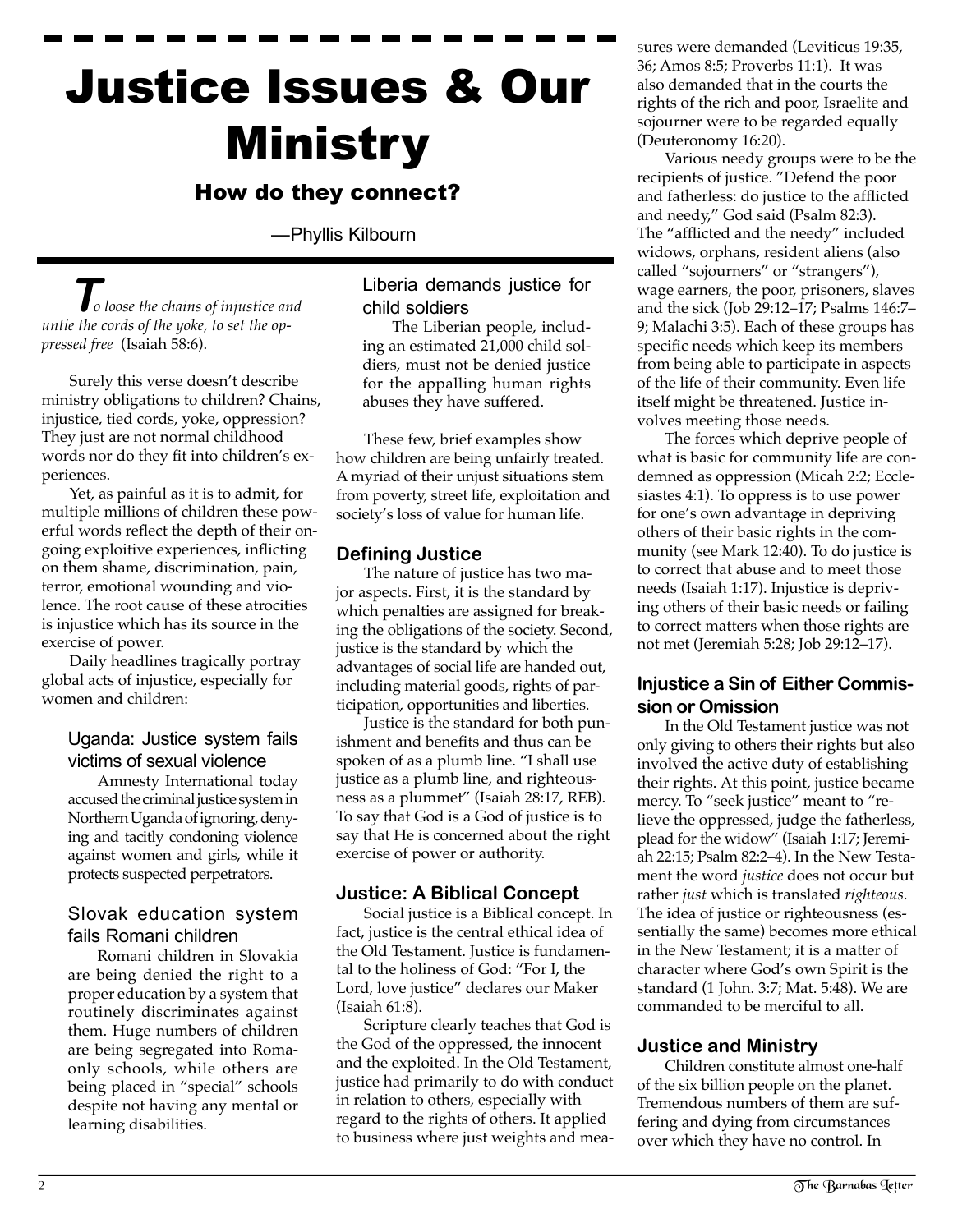# Justice Issues & Our Ministry

# How do they connect?

—Phyllis Kilbourn

**T***o loose the chains of injustice and untie the cords of the yoke, to set the oppressed free* (Isaiah 58:6).

Surely this verse doesn't describe ministry obligations to children? Chains, injustice, tied cords, yoke, oppression? They just are not normal childhood words nor do they fit into children's experiences.

Yet, as painful as it is to admit, for multiple millions of children these powerful words reflect the depth of their ongoing exploitive experiences, inflicting on them shame, discrimination, pain, terror, emotional wounding and violence. The root cause of these atrocities is injustice which has its source in the exercise of power.

Daily headlines tragically portray global acts of injustice, especially for women and children:

## Uganda: Justice system fails victims of sexual violence

Amnesty International today accused the criminal justice system in Northern Uganda of ignoring, denying and tacitly condoning violence against women and girls, while it protects suspected perpetrators.

# Slovak education system fails Romani children

Romani children in Slovakia are being denied the right to a proper education by a system that routinely discriminates against them. Huge numbers of children are being segregated into Romaonly schools, while others are being placed in "special" schools despite not having any mental or learning disabilities.

# Liberia demands justice for child soldiers

The Liberian people, including an estimated 21,000 child soldiers, must not be denied justice for the appalling human rights abuses they have suffered.

These few, brief examples show how children are being unfairly treated. A myriad of their unjust situations stem from poverty, street life, exploitation and society's loss of value for human life.

# **Defining Justice**

The nature of justice has two major aspects. First, it is the standard by which penalties are assigned for breaking the obligations of the society. Second, justice is the standard by which the advantages of social life are handed out, including material goods, rights of participation, opportunities and liberties.

Justice is the standard for both punishment and benefits and thus can be spoken of as a plumb line. "I shall use justice as a plumb line, and righteousness as a plummet" (Isaiah 28:17, REB). To say that God is a God of justice is to say that He is concerned about the right exercise of power or authority.

## **Justice: A Biblical Concept**

Social justice is a Biblical concept. In fact, justice is the central ethical idea of the Old Testament. Justice is fundamental to the holiness of God: "For I, the Lord, love justice" declares our Maker (Isaiah 61:8).

Scripture clearly teaches that God is the God of the oppressed, the innocent and the exploited. In the Old Testament, justice had primarily to do with conduct in relation to others, especially with regard to the rights of others. It applied to business where just weights and measures were demanded (Leviticus 19:35, 36; Amos 8:5; Proverbs 11:1). It was also demanded that in the courts the rights of the rich and poor, Israelite and sojourner were to be regarded equally (Deuteronomy 16:20).

Various needy groups were to be the recipients of justice. "Defend the poor and fatherless: do justice to the afflicted and needy," God said (Psalm 82:3). The "afflicted and the needy" included widows, orphans, resident aliens (also called "sojourners" or "strangers"), wage earners, the poor, prisoners, slaves and the sick (Job 29:12–17; Psalms 146:7– 9; Malachi 3:5). Each of these groups has specific needs which keep its members from being able to participate in aspects of the life of their community. Even life itself might be threatened. Justice involves meeting those needs.

The forces which deprive people of what is basic for community life are condemned as oppression (Micah 2:2; Ecclesiastes 4:1). To oppress is to use power for one's own advantage in depriving others of their basic rights in the community (see Mark 12:40). To do justice is to correct that abuse and to meet those needs (Isaiah 1:17). Injustice is depriving others of their basic needs or failing to correct matters when those rights are not met (Jeremiah 5:28; Job 29:12–17).

# **Injustice a Sin of Either Commission or Omission**

In the Old Testament justice was not only giving to others their rights but also involved the active duty of establishing their rights. At this point, justice became mercy. To "seek justice" meant to "relieve the oppressed, judge the fatherless, plead for the widow" (Isaiah 1:17; Jeremiah 22:15; Psalm 82:2–4). In the New Testament the word *justice* does not occur but rather *just* which is translated *righteous*. The idea of justice or righteousness (essentially the same) becomes more ethical in the New Testament; it is a matter of character where God's own Spirit is the standard (1 John. 3:7; Mat. 5:48). We are commanded to be merciful to all.

# **Justice and Ministry**

Children constitute almost one-half of the six billion people on the planet. Tremendous numbers of them are suffering and dying from circumstances over which they have no control. In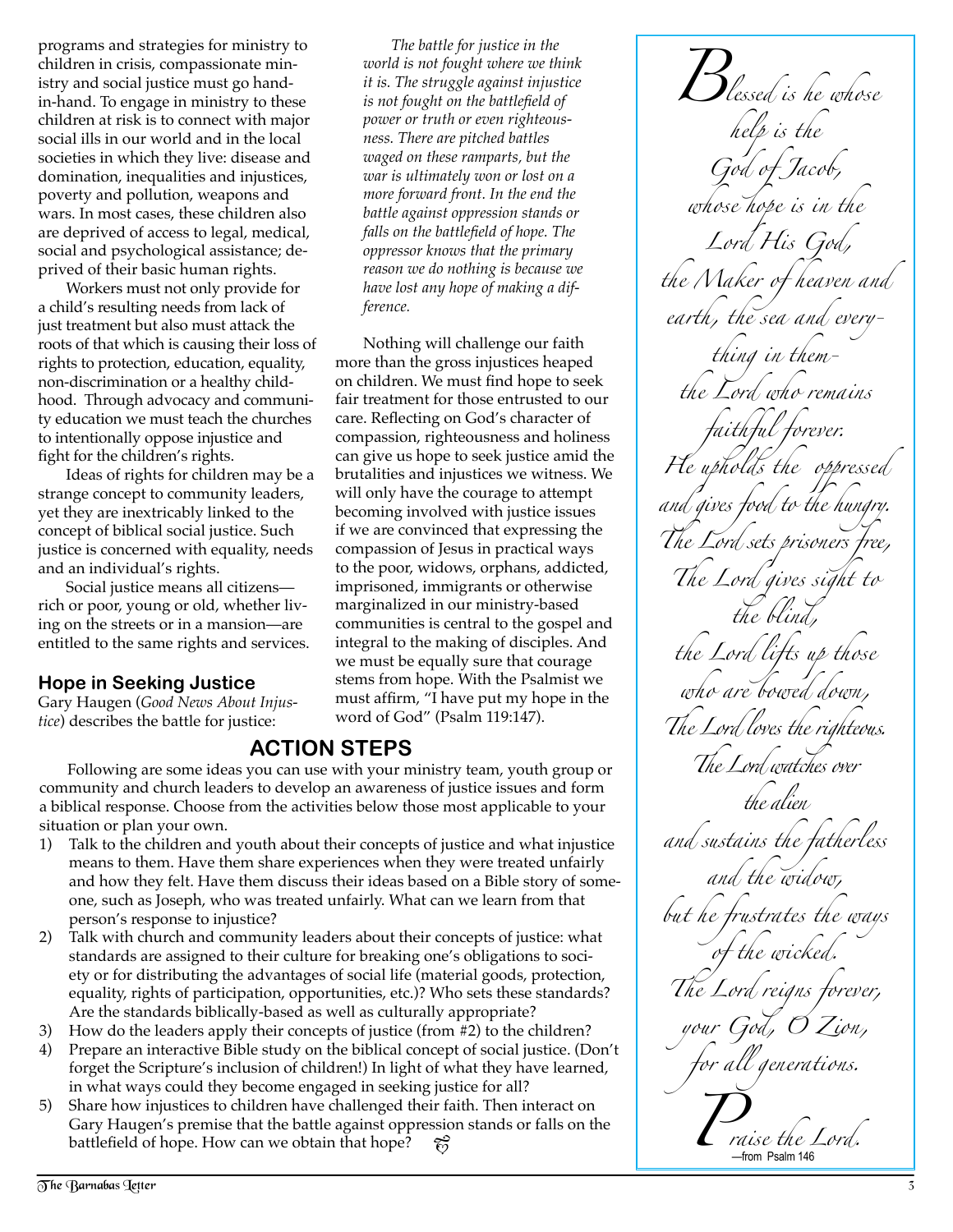programs and strategies for ministry to children in crisis, compassionate ministry and social justice must go handin-hand. To engage in ministry to these children at risk is to connect with major social ills in our world and in the local societies in which they live: disease and domination, inequalities and injustices, poverty and pollution, weapons and wars. In most cases, these children also are deprived of access to legal, medical, social and psychological assistance; deprived of their basic human rights.

Workers must not only provide for a child's resulting needs from lack of just treatment but also must attack the roots of that which is causing their loss of rights to protection, education, equality, non-discrimination or a healthy childhood. Through advocacy and community education we must teach the churches to intentionally oppose injustice and fight for the children's rights.

Ideas of rights for children may be a strange concept to community leaders, yet they are inextricably linked to the concept of biblical social justice. Such justice is concerned with equality, needs and an individual's rights.

Social justice means all citizens rich or poor, young or old, whether living on the streets or in a mansion—are entitled to the same rights and services.

# **Hope in Seeking Justice**

Gary Haugen (*Good News About Injustice*) describes the battle for justice:

*The battle for justice in the world is not fought where we think it is. The struggle against injustice is not fought on the battlefield of power or truth or even righteousness. There are pitched battles waged on these ramparts, but the war is ultimately won or lost on a more forward front. In the end the battle against oppression stands or falls on the battlefield of hope. The oppressor knows that the primary reason we do nothing is because we have lost any hope of making a difference.*

Nothing will challenge our faith more than the gross injustices heaped on children. We must find hope to seek fair treatment for those entrusted to our care. Reflecting on God's character of compassion, righteousness and holiness can give us hope to seek justice amid the brutalities and injustices we witness. We will only have the courage to attempt becoming involved with justice issues if we are convinced that expressing the compassion of Jesus in practical ways to the poor, widows, orphans, addicted, imprisoned, immigrants or otherwise marginalized in our ministry-based communities is central to the gospel and integral to the making of disciples. And we must be equally sure that courage stems from hope. With the Psalmist we must affirm, "I have put my hope in the word of God" (Psalm 119:147).

# **ACTION STEPS**

Following are some ideas you can use with your ministry team, youth group or community and church leaders to develop an awareness of justice issues and form a biblical response. Choose from the activities below those most applicable to your situation or plan your own.

- 1) Talk to the children and youth about their concepts of justice and what injustice means to them. Have them share experiences when they were treated unfairly and how they felt. Have them discuss their ideas based on a Bible story of someone, such as Joseph, who was treated unfairly. What can we learn from that person's response to injustice?
- 2) Talk with church and community leaders about their concepts of justice: what standards are assigned to their culture for breaking one's obligations to society or for distributing the advantages of social life (material goods, protection, equality, rights of participation, opportunities, etc.)? Who sets these standards? Are the standards biblically-based as well as culturally appropriate?
- 3) How do the leaders apply their concepts of justice (from #2) to the children?<br>4) Prepare an interactive Bible study on the biblical concept of social iustice. (De
- 4) Prepare an interactive Bible study on the biblical concept of social justice. (Don't forget the Scripture's inclusion of children!) In light of what they have learned, in what ways could they become engaged in seeking justice for all?
- 5) Share how injustices to children have challenged their faith. Then interact on Gary Haugen's premise that the battle against oppression stands or falls on the battlefield of hope. How can we obtain that hope?  $\hat{\epsilon}_2^{\circ}$

*Blessed is he whose help is the God of Jacob, whose hope is in the Lord His God, the Maker of heaven and earth, the sea and everything in themthe Lord who remains faithful forever. He upholds the oppressed and gives food to the hungry. The Lord sets prisoners free, The Lord gives sight to the blind, the Lord lifts up those who are bowed down, The Lord loves the righteous. The Lord watches over the alien and sustains the fatherless and the widow, but he frustrates the ways*  the wicked. *The Lord reigns forever, your God, O Z ion, for all generations. Praise the Lord.*  —from Psalm 146

The Barnabas Tetter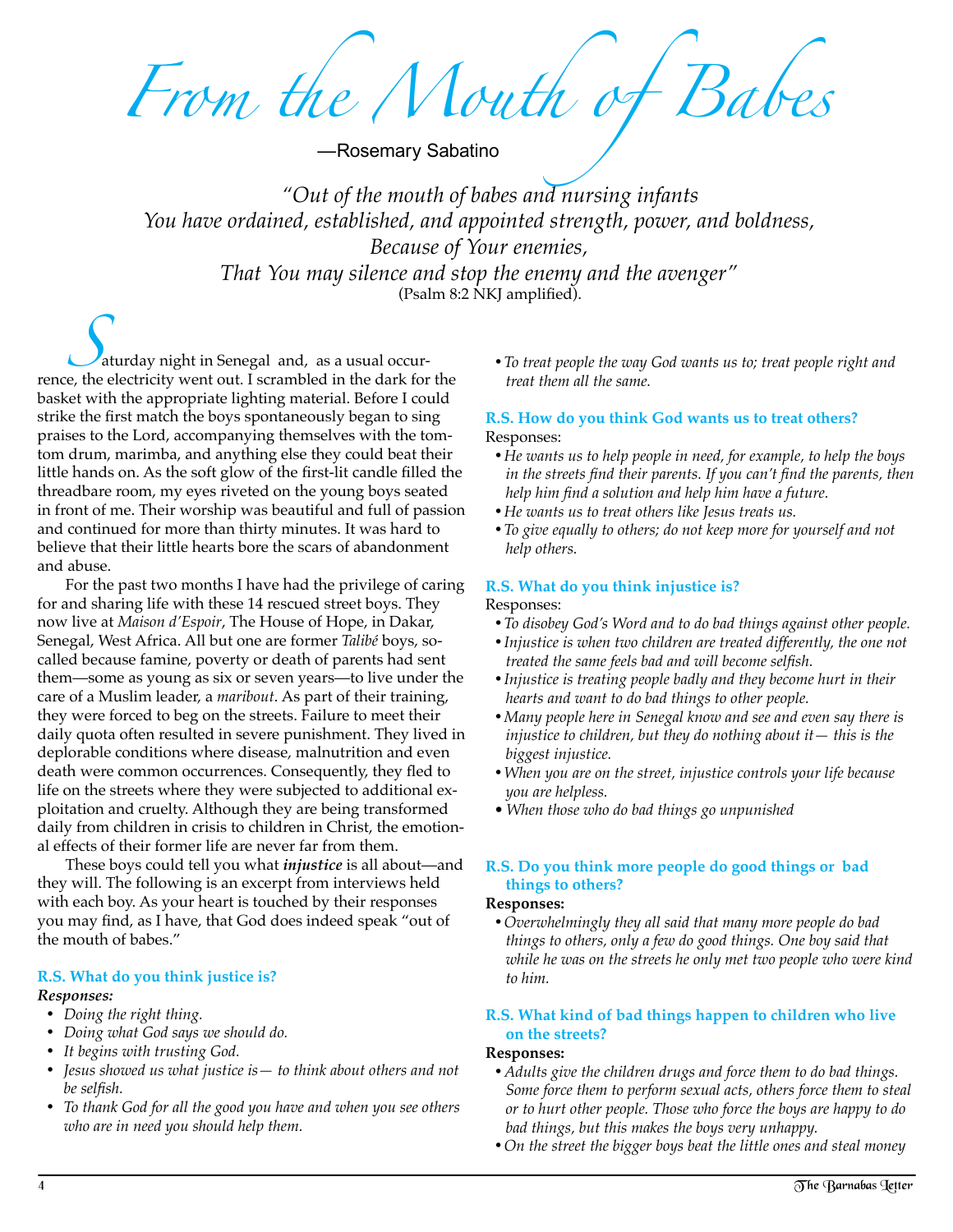*From the Mouth of Babes*

—Rosemary Sabatino

*"Out of the mouth of babes and nursing infants You have ordained, established, and appointed strength, power, and boldness, Because of Your enemies, That You may silence and stop the enemy and the avenger"*  (Psalm 8:2 NKJ amplified).

**S**aturday night in Senegal and, as a usual occur-<br>rence, the electricity went out. I scrambled in the dark for the basket with the appropriate lighting material. Before I could strike the first match the boys spontaneously began to sing praises to the Lord, accompanying themselves with the tomtom drum, marimba, and anything else they could beat their little hands on. As the soft glow of the first-lit candle filled the threadbare room, my eyes riveted on the young boys seated in front of me. Their worship was beautiful and full of passion and continued for more than thirty minutes. It was hard to believe that their little hearts bore the scars of abandonment and abuse.

For the past two months I have had the privilege of caring for and sharing life with these 14 rescued street boys. They now live at *Maison d'Espoir*, The House of Hope, in Dakar, Senegal, West Africa. All but one are former *Talibé* boys, socalled because famine, poverty or death of parents had sent them—some as young as six or seven years—to live under the care of a Muslim leader, a *maribout*. As part of their training, they were forced to beg on the streets. Failure to meet their daily quota often resulted in severe punishment. They lived in deplorable conditions where disease, malnutrition and even death were common occurrences. Consequently, they fled to life on the streets where they were subjected to additional exploitation and cruelty. Although they are being transformed daily from children in crisis to children in Christ, the emotional effects of their former life are never far from them.

These boys could tell you what *injustice* is all about—and they will. The following is an excerpt from interviews held with each boy. As your heart is touched by their responses you may find, as I have, that God does indeed speak "out of the mouth of babes."

# **R.S. What do you think justice is?**

#### *Responses:*

- • *Doing the right thing.*
- • *Doing what God says we should do.*
- • *It begins with trusting God.*
- • *Jesus showed us what justice is— to think about others and not be selfish.*
- • *To thank God for all the good you have and when you see others who are in need you should help them.*

• To treat people the way God wants us to; treat people right and *treat them all the same.* 

#### **R.S. How do you think God wants us to treat others?** Responses:

- • *He wants us to help people in need, for example, to help the boys in the streets find their parents. If you can't find the parents, then help him find a solution and help him have a future.*
- • *He wants us to treat others like Jesus treats us.*
- To give equally to others; do not keep more for yourself and not *help others.*

#### **R.S. What do you think injustice is?**

#### Responses:

- To disobey God's Word and to do bad things against other people.
- • *Injustice is when two children are treated differently, the one not treated the same feels bad and will become selfish.*
- Injustice is treating people badly and they become hurt in their *hearts and want to do bad things to other people.*
- • *Many people here in Senegal know and see and even say there is injustice to children, but they do nothing about it— this is the biggest injustice.*
- • *When you are on the street, injustice controls your life because you are helpless.*
- *When those who do bad things go unpunished*

#### **R.S. Do you think more people do good things or bad things to others?**

#### **Responses:**

 • *Overwhelmingly they all said that many more people do bad things to others, only a few do good things. One boy said that while he was on the streets he only met two people who were kind to him.*

#### **R.S. What kind of bad things happen to children who live on the streets?**

#### **Responses:**

- Adults give the children drugs and force them to do bad things. *Some force them to perform sexual acts, others force them to steal or to hurt other people. Those who force the boys are happy to do bad things, but this makes the boys very unhappy.*
- • *On the street the bigger boys beat the little ones and steal money*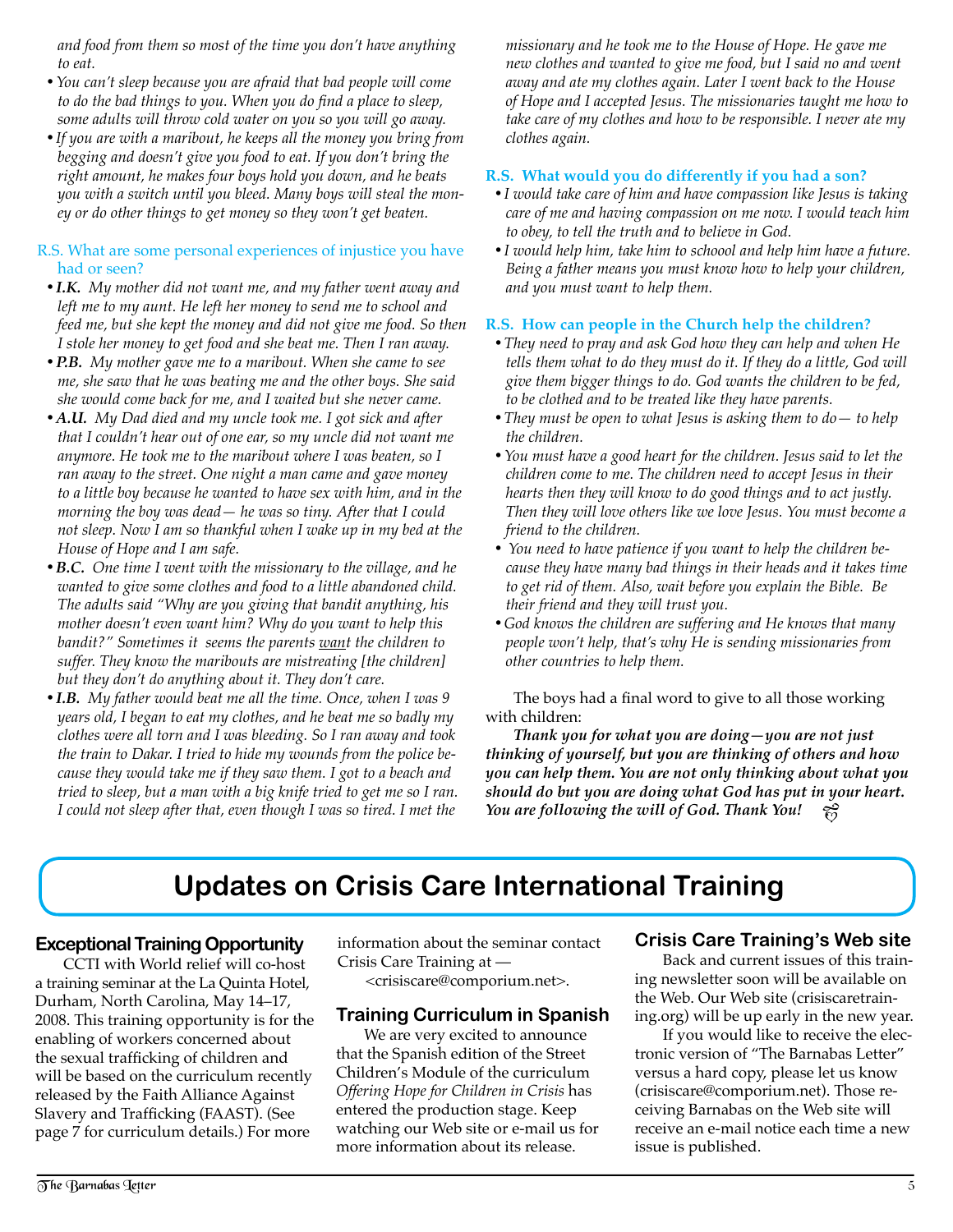*and food from them so most of the time you don't have anything to eat.*

- • *You can't sleep because you are afraid that bad people will come to do the bad things to you. When you do find a place to sleep, some adults will throw cold water on you so you will go away.*
- If you are with a maribout, he keeps all the money you bring from *begging and doesn't give you food to eat. If you don't bring the right amount, he makes four boys hold you down, and he beats you with a switch until you bleed. Many boys will steal the money or do other things to get money so they won't get beaten.*

#### R.S. What are some personal experiences of injustice you have had or seen?

- I.K. My mother did not want me, and my father went away and *left me to my aunt. He left her money to send me to school and feed me, but she kept the money and did not give me food. So then I stole her money to get food and she beat me. Then I ran away.*
- **P.B.** My mother gave me to a maribout. When she came to see *me, she saw that he was beating me and the other boys. She said she would come back for me, and I waited but she never came.*
- A.U. My Dad died and my uncle took me. I got sick and after *that I couldn't hear out of one ear, so my uncle did not want me anymore. He took me to the maribout where I was beaten, so I ran away to the street. One night a man came and gave money to a little boy because he wanted to have sex with him, and in the morning the boy was dead— he was so tiny. After that I could not sleep. Now I am so thankful when I wake up in my bed at the House of Hope and I am safe.*
- **B.C.** One time I went with the missionary to the village, and he *wanted to give some clothes and food to a little abandoned child. The adults said "Why are you giving that bandit anything, his mother doesn't even want him? Why do you want to help this bandit?" Sometimes it seems the parents want the children to suffer. They know the maribouts are mistreating [the children] but they don't do anything about it. They don't care.*
- I.B. My father would beat me all the time. Once, when I was 9 *years old, I began to eat my clothes, and he beat me so badly my clothes were all torn and I was bleeding. So I ran away and took the train to Dakar. I tried to hide my wounds from the police because they would take me if they saw them. I got to a beach and tried to sleep, but a man with a big knife tried to get me so I ran. I* could not sleep after that, even though I was so tired. I met the

*missionary and he took me to the House of Hope. He gave me new clothes and wanted to give me food, but I said no and went away and ate my clothes again. Later I went back to the House of Hope and I accepted Jesus. The missionaries taught me how to take care of my clothes and how to be responsible. I never ate my clothes again.*

### **R.S. What would you do differently if you had a son?**

- I would take care of him and have compassion like Jesus is taking *care of me and having compassion on me now. I would teach him to obey, to tell the truth and to believe in God.*
- I would help him, take him to schoool and help him have a future. *Being a father means you must know how to help your children, and you must want to help them.*

#### **R.S. How can people in the Church help the children?**

- They need to pray and ask God how they can help and when He *tells them what to do they must do it. If they do a little, God will give them bigger things to do. God wants the children to be fed, to be clothed and to be treated like they have parents.*
- They must be open to what Jesus is asking them to do to help *the children.*
- • *You must have a good heart for the children. Jesus said to let the children come to me. The children need to accept Jesus in their hearts then they will know to do good things and to act justly. Then they will love others like we love Jesus. You must become a friend to the children.*
- •  *You need to have patience if you want to help the children because they have many bad things in their heads and it takes time to get rid of them. Also, wait before you explain the Bible. Be their friend and they will trust you.*
- • *God knows the children are suffering and He knows that many people won't help, that's why He is sending missionaries from other countries to help them.*

The boys had a final word to give to all those working with children:

*Thank you for what you are doing—you are not just thinking of yourself, but you are thinking of others and how you can help them. You are not only thinking about what you should do but you are doing what God has put in your heart. You are following the will of God. Thank You!*  $\widetilde{\omega}$ 

# **Updates on Crisis Care International Training**

#### **Exceptional Training Opportunity**

CCTI with World relief will co-host a training seminar at the La Quinta Hotel, Durham, North Carolina, May 14–17, 2008. This training opportunity is for the enabling of workers concerned about the sexual trafficking of children and will be based on the curriculum recently released by the Faith Alliance Against Slavery and Trafficking (FAAST). (See page 7 for curriculum details.) For more

information about the seminar contact Crisis Care Training at — <crisiscare@comporium.net>.

## **Training Curriculum in Spanish**

We are very excited to announce that the Spanish edition of the Street Children's Module of the curriculum *Offering Hope for Children in Crisis* has entered the production stage. Keep watching our Web site or e-mail us for more information about its release.

## **Crisis Care Training's Web site**

Back and current issues of this training newsletter soon will be available on the Web. Our Web site (crisiscaretraining.org) will be up early in the new year.

If you would like to receive the electronic version of "The Barnabas Letter" versus a hard copy, please let us know (crisiscare@comporium.net). Those receiving Barnabas on the Web site will receive an e-mail notice each time a new issue is published.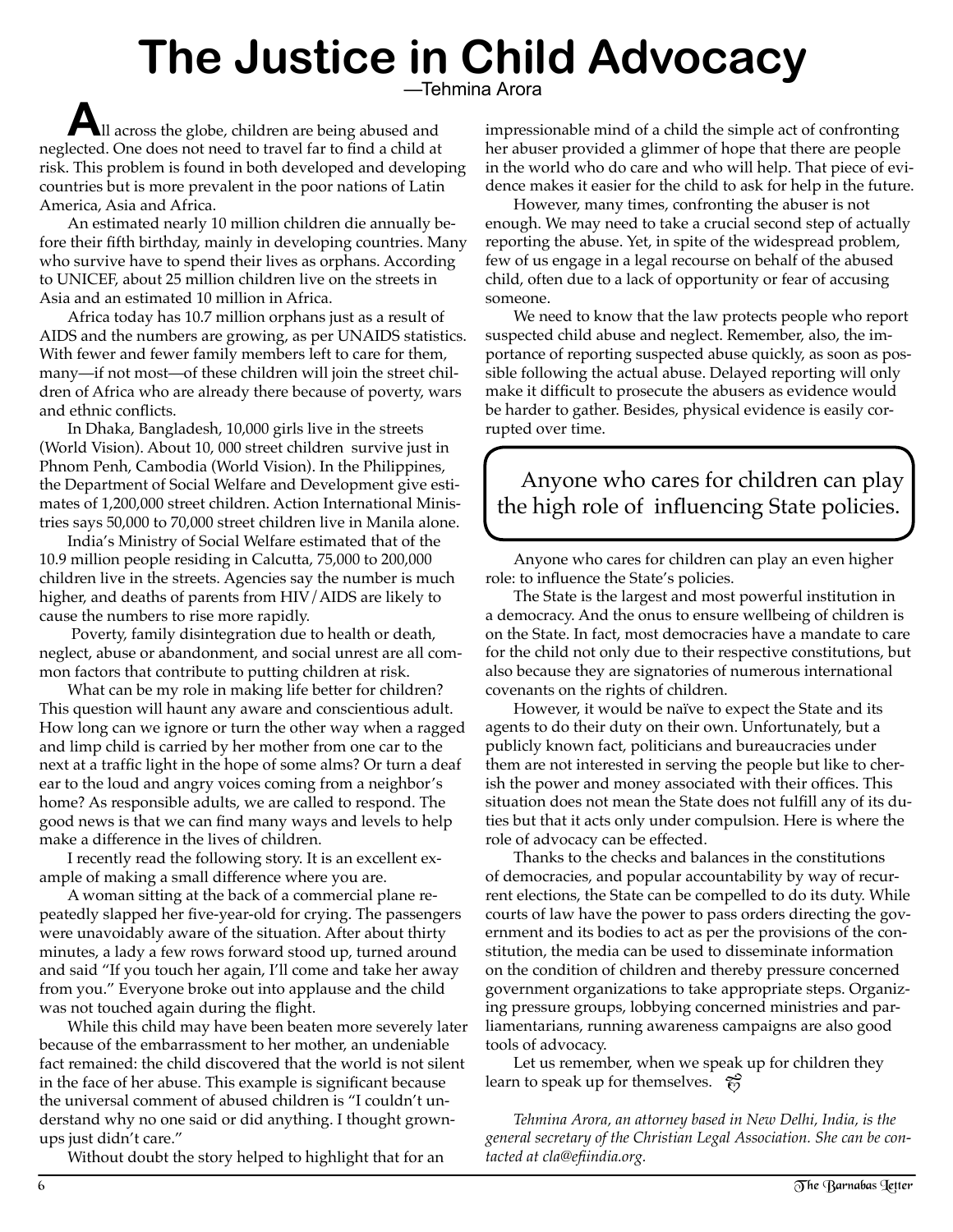# **The Justice in Child Advocacy** —Tehmina Arora

**A**ll across the globe, children are being abused and neglected. One does not need to travel far to find a child at risk. This problem is found in both developed and developing countries but is more prevalent in the poor nations of Latin America, Asia and Africa.

An estimated nearly 10 million children die annually before their fifth birthday, mainly in developing countries. Many who survive have to spend their lives as orphans. According to UNICEF, about 25 million children live on the streets in Asia and an estimated 10 million in Africa.

Africa today has 10.7 million orphans just as a result of AIDS and the numbers are growing, as per UNAIDS statistics. With fewer and fewer family members left to care for them, many—if not most—of these children will join the street children of Africa who are already there because of poverty, wars and ethnic conflicts.

In Dhaka, Bangladesh, 10,000 girls live in the streets (World Vision). About 10, 000 street children survive just in Phnom Penh, Cambodia (World Vision). In the Philippines, the Department of Social Welfare and Development give estimates of 1,200,000 street children. Action International Ministries says 50,000 to 70,000 street children live in Manila alone.

India's Ministry of Social Welfare estimated that of the 10.9 million people residing in Calcutta, 75,000 to 200,000 children live in the streets. Agencies say the number is much higher, and deaths of parents from HIV/AIDS are likely to cause the numbers to rise more rapidly.

 Poverty, family disintegration due to health or death, neglect, abuse or abandonment, and social unrest are all common factors that contribute to putting children at risk.

What can be my role in making life better for children? This question will haunt any aware and conscientious adult. How long can we ignore or turn the other way when a ragged and limp child is carried by her mother from one car to the next at a traffic light in the hope of some alms? Or turn a deaf ear to the loud and angry voices coming from a neighbor's home? As responsible adults, we are called to respond. The good news is that we can find many ways and levels to help make a difference in the lives of children.

I recently read the following story. It is an excellent example of making a small difference where you are.

A woman sitting at the back of a commercial plane repeatedly slapped her five-year-old for crying. The passengers were unavoidably aware of the situation. After about thirty minutes, a lady a few rows forward stood up, turned around and said "If you touch her again, I'll come and take her away from you." Everyone broke out into applause and the child was not touched again during the flight.

While this child may have been beaten more severely later because of the embarrassment to her mother, an undeniable fact remained: the child discovered that the world is not silent in the face of her abuse. This example is significant because the universal comment of abused children is "I couldn't understand why no one said or did anything. I thought grownups just didn't care."

Without doubt the story helped to highlight that for an

impressionable mind of a child the simple act of confronting her abuser provided a glimmer of hope that there are people in the world who do care and who will help. That piece of evidence makes it easier for the child to ask for help in the future.

However, many times, confronting the abuser is not enough. We may need to take a crucial second step of actually reporting the abuse. Yet, in spite of the widespread problem, few of us engage in a legal recourse on behalf of the abused child, often due to a lack of opportunity or fear of accusing someone.

We need to know that the law protects people who report suspected child abuse and neglect. Remember, also, the importance of reporting suspected abuse quickly, as soon as possible following the actual abuse. Delayed reporting will only make it difficult to prosecute the abusers as evidence would be harder to gather. Besides, physical evidence is easily corrupted over time.

Anyone who cares for children can play the high role of influencing State policies.

Anyone who cares for children can play an even higher role: to influence the State's policies.

The State is the largest and most powerful institution in a democracy. And the onus to ensure wellbeing of children is on the State. In fact, most democracies have a mandate to care for the child not only due to their respective constitutions, but also because they are signatories of numerous international covenants on the rights of children.

However, it would be naïve to expect the State and its agents to do their duty on their own. Unfortunately, but a publicly known fact, politicians and bureaucracies under them are not interested in serving the people but like to cherish the power and money associated with their offices. This situation does not mean the State does not fulfill any of its duties but that it acts only under compulsion. Here is where the role of advocacy can be effected.

Thanks to the checks and balances in the constitutions of democracies, and popular accountability by way of recurrent elections, the State can be compelled to do its duty. While courts of law have the power to pass orders directing the government and its bodies to act as per the provisions of the constitution, the media can be used to disseminate information on the condition of children and thereby pressure concerned government organizations to take appropriate steps. Organizing pressure groups, lobbying concerned ministries and parliamentarians, running awareness campaigns are also good tools of advocacy.

Let us remember, when we speak up for children they learn to speak up for themselves.  $\hat{\epsilon}$ 

*Tehmina Arora, an attorney based in New Delhi, India, is the general secretary of the Christian Legal Association. She can be contacted at cla@efiindia.org.*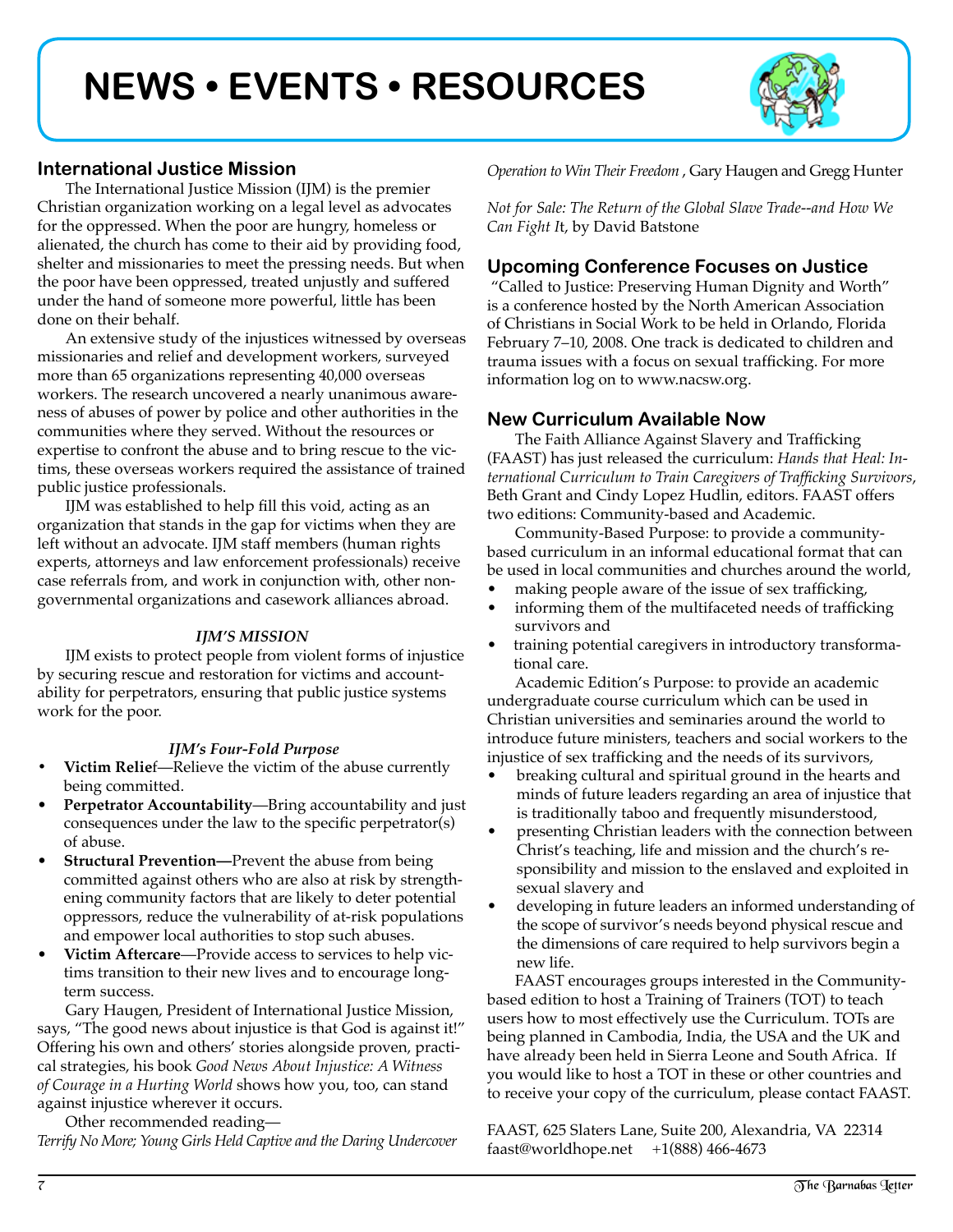# **NEWS • EVENTS • RESOURCES**



# **International Justice Mission**

The International Justice Mission (IJM) is the premier Christian organization working on a legal level as advocates for the oppressed. When the poor are hungry, homeless or alienated, the church has come to their aid by providing food, shelter and missionaries to meet the pressing needs. But when the poor have been oppressed, treated unjustly and suffered under the hand of someone more powerful, little has been done on their behalf.

An extensive study of the injustices witnessed by overseas missionaries and relief and development workers, surveyed more than 65 organizations representing 40,000 overseas workers. The research uncovered a nearly unanimous awareness of abuses of power by police and other authorities in the communities where they served. Without the resources or expertise to confront the abuse and to bring rescue to the victims, these overseas workers required the assistance of trained public justice professionals.

IJM was established to help fill this void, acting as an organization that stands in the gap for victims when they are left without an advocate. IJM staff members (human rights experts, attorneys and law enforcement professionals) receive case referrals from, and work in conjunction with, other nongovernmental organizations and casework alliances abroad.

#### *IJM'S MISSION*

IJM exists to protect people from violent forms of injustice by securing rescue and restoration for victims and accountability for perpetrators, ensuring that public justice systems work for the poor.

#### *IJM's Four-Fold Purpose*

- *•* **Victim Relie**f—Relieve the victim of the abuse currently being committed.
- **Perpetrator Accountability**—Bring accountability and just consequences under the law to the specific perpetrator(s) of abuse.
- **Structural Prevention—Prevent the abuse from being** committed against others who are also at risk by strengthening community factors that are likely to deter potential oppressors, reduce the vulnerability of at-risk populations and empower local authorities to stop such abuses.
- **Victim Aftercare**—Provide access to services to help victims transition to their new lives and to encourage longterm success.

Gary Haugen, President of International Justice Mission, says, "The good news about injustice is that God is against it!" Offering his own and others' stories alongside proven, practical strategies, his book *Good News About Injustice: A Witness of Courage in a Hurting World* shows how you, too, can stand against injustice wherever it occurs.

Other recommended reading— *Terrify No More; Young Girls Held Captive and the Daring Undercover*  *Operation to Win Their Freedom* , Gary Haugen and Gregg Hunter

*Not for Sale: The Return of the Global Slave Trade--and How We Can Fight I*t, by David Batstone

# **Upcoming Conference Focuses on Justice**

 "Called to Justice: Preserving Human Dignity and Worth" is a conference hosted by the North American Association of Christians in Social Work to be held in Orlando, Florida February 7–10, 2008. One track is dedicated to children and trauma issues with a focus on sexual trafficking. For more information log on to www.nacsw.org.

## **New Curriculum Available Now**

The Faith Alliance Against Slavery and Trafficking (FAAST) has just released the curriculum: *Hands that Heal: International Curriculum to Train Caregivers of Trafficking Survivors*, Beth Grant and Cindy Lopez Hudlin, editors. FAAST offers two editions: Community-based and Academic.

Community-Based Purpose: to provide a communitybased curriculum in an informal educational format that can be used in local communities and churches around the world,

- making people aware of the issue of sex trafficking,
- informing them of the multifaceted needs of trafficking survivors and
- training potential caregivers in introductory transformational care.

Academic Edition's Purpose: to provide an academic undergraduate course curriculum which can be used in Christian universities and seminaries around the world to introduce future ministers, teachers and social workers to the injustice of sex trafficking and the needs of its survivors,

- breaking cultural and spiritual ground in the hearts and minds of future leaders regarding an area of injustice that is traditionally taboo and frequently misunderstood,
- presenting Christian leaders with the connection between Christ's teaching, life and mission and the church's responsibility and mission to the enslaved and exploited in sexual slavery and
- developing in future leaders an informed understanding of the scope of survivor's needs beyond physical rescue and the dimensions of care required to help survivors begin a new life.

FAAST encourages groups interested in the Communitybased edition to host a Training of Trainers (TOT) to teach users how to most effectively use the Curriculum. TOTs are being planned in Cambodia, India, the USA and the UK and have already been held in Sierra Leone and South Africa. If you would like to host a TOT in these or other countries and to receive your copy of the curriculum, please contact FAAST.

FAAST, 625 Slaters Lane, Suite 200, Alexandria, VA 22314 faast@worldhope.net  $+1(888)$  466-4673